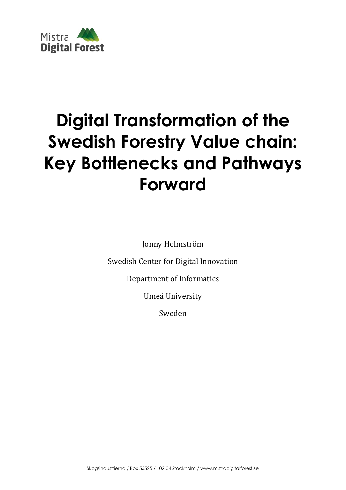

# **Digital Transformation of the Swedish Forestry Value chain: Key Bottlenecks and Pathways Forward**

Jonny Holmström

Swedish Center for Digital Innovation

Department of Informatics

Umeå University

Sweden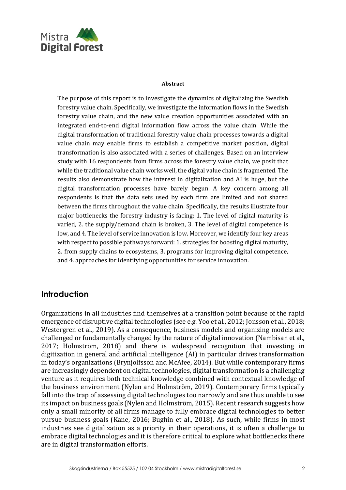

#### **Abstract**

The purpose of this report is to investigate the dynamics of digitalizing the Swedish forestry value chain. Specifically, we investigate the information flows in the Swedish forestry value chain, and the new value creation opportunities associated with an integrated end‐to‐end digital information flow across the value chain. While the digital transformation of traditional forestry value chain processes towards a digital value chain may enable firms to establish a competitive market position, digital transformation is also associated with a series of challenges. Based on an interview study with 16 respondents from firms across the forestry value chain, we posit that while the traditional value chain works well, the digital value chain is fragmented. The results also demonstrate how the interest in digitalization and AI is huge, but the digital transformation processes have barely begun. A key concern among all respondents is that the data sets used by each firm are limited and not shared between the firms throughout the value chain. Specifically, the results illustrate four major bottlenecks the forestry industry is facing: 1. The level of digital maturity is varied, 2. the supply/demand chain is broken, 3. The level of digital competence is low, and 4. The level of service innovation is low. Moreover, we identify four key areas with respect to possible pathways forward: 1. strategies for boosting digital maturity, 2. from supply chains to ecosystems, 3. programs for improving digital competence, and 4. approaches for identifying opportunities for service innovation.

# **Introduction**

Organizations in all industries find themselves at a transition point because of the rapid emergence of disruptive digital technologies (see e.g. Yoo et al., 2012; Jonsson et al., 2018; Westergren et al., 2019). As a consequence, business models and organizing models are challenged or fundamentally changed by the nature of digital innovation (Nambisan et al., 2017; Holmström, 2018) and there is widespread recognition that investing in digitization in general and artificial intelligence (AI) in particular drives transformation in today's organizations (Brynjolfsson and McAfee, 2014). But while contemporary firms are increasingly dependent on digital technologies, digital transformation is a challenging venture as it requires both technical knowledge combined with contextual knowledge of the business environment (Nylen and Holmström, 2019). Contemporary firms typically fall into the trap of assessing digital technologies too narrowly and are thus unable to see its impact on business goals (Nylen and Holmström, 2015). Recent research suggests how only a small minority of all firms manage to fully embrace digital technologies to better pursue business goals (Kane, 2016; Bughin et al., 2018). As such, while firms in most industries see digitalization as a priority in their operations, it is often a challenge to embrace digital technologies and it is therefore critical to explore what bottlenecks there are in digital transformation efforts.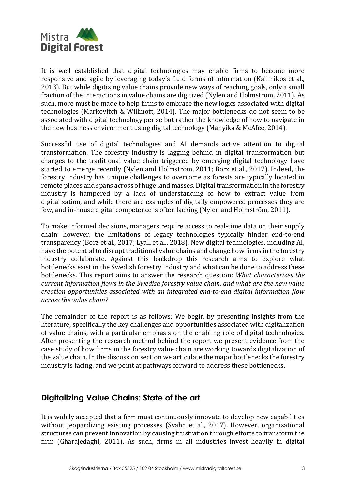

It is well established that digital technologies may enable firms to become more responsive and agile by leveraging today's fluid forms of information (Kallinikos et al., 2013). But while digitizing value chains provide new ways of reaching goals, only a small fraction of the interactions in value chains are digitized (Nylen and Holmström, 2011). As such, more must be made to help firms to embrace the new logics associated with digital technologies (Markovitch & Willmott, 2014). The major bottlenecks do not seem to be associated with digital technology per se but rather the knowledge of how to navigate in the new business environment using digital technology (Manyika & McAfee, 2014).

Successful use of digital technologies and AI demands active attention to digital transformation. The forestry industry is lagging behind in digital transformation but changes to the traditional value chain triggered by emerging digital technology have started to emerge recently (Nylen and Holmström, 2011; Borz et al., 2017). Indeed, the forestry industry has unique challenges to overcome as forests are typically located in remote places and spans across of huge land masses. Digital transformation in the forestry industry is hampered by a lack of understanding of how to extract value from digitalization, and while there are examples of digitally empowered processes they are few, and in-house digital competence is often lacking (Nylen and Holmström, 2011).

To make informed decisions, managers require access to real-time data on their supply chain; however, the limitations of legacy technologies typically hinder end-to-end transparency (Borz et al., 2017; Lyall et al., 2018). New digital technologies, including AI, have the potential to disrupt traditional value chains and change how firms in the forestry industry collaborate. Against this backdrop this research aims to explore what bottlenecks exist in the Swedish forestry industry and what can be done to address these bottlenecks. This report aims to answer the research question: *What characterizes the current information flows in the Swedish forestry value chain, and what are the new value creation opportunities associated with an integrated end‐to‐end digital information flow across the value chain?*

The remainder of the report is as follows: We begin by presenting insights from the literature, specifically the key challenges and opportunities associated with digitalization of value chains, with a particular emphasis on the enabling role of digital technologies. After presenting the research method behind the report we present evidence from the case study of how firms in the forestry value chain are working towards digitalization of the value chain. In the discussion section we articulate the major bottlenecks the forestry industry is facing, and we point at pathways forward to address these bottlenecks.

# **Digitalizing Value Chains: State of the art**

It is widely accepted that a firm must continuously innovate to develop new capabilities without jeopardizing existing processes (Svahn et al., 2017). However, organizational structures can prevent innovation by causing frustration through efforts to transform the firm (Gharajedaghi, 2011). As such, firms in all industries invest heavily in digital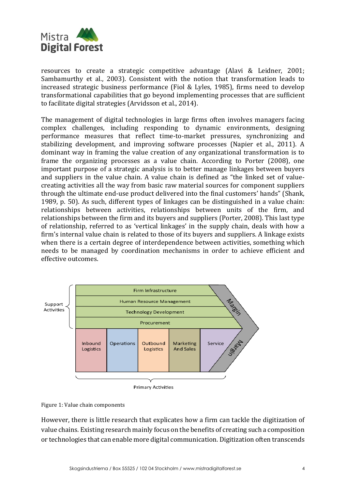

resources to create a strategic competitive advantage (Alavi & Leidner, 2001; Sambamurthy et al., 2003). Consistent with the notion that transformation leads to increased strategic business performance (Fiol & Lyles, 1985), firms need to develop transformational capabilities that go beyond implementing processes that are sufficient to facilitate digital strategies (Arvidsson et al., 2014).

The management of digital technologies in large firms often involves managers facing complex challenges, including responding to dynamic environments, designing performance measures that reflect time-to-market pressures, synchronizing and stabilizing development, and improving software processes (Napier et al., 2011). A dominant way in framing the value creation of any organizational transformation is to frame the organizing processes as a value chain. According to Porter (2008), one important purpose of a strategic analysis is to better manage linkages between buyers and suppliers in the value chain. A value chain is defined as "the linked set of valuecreating activities all the way from basic raw material sources for component suppliers through the ultimate end-use product delivered into the final customers' hands" (Shank, 1989, p. 50). As such, different types of linkages can be distinguished in a value chain: relationships between activities, relationships between units of the firm, and relationships between the firm and its buyers and suppliers (Porter, 2008). This last type of relationship, referred to as 'vertical linkages' in the supply chain, deals with how a firm's internal value chain is related to those of its buyers and suppliers. A linkage exists when there is a certain degree of interdependence between activities, something which needs to be managed by coordination mechanisms in order to achieve efficient and effective outcomes.



**Primary Activities** 



However, there is little research that explicates how a firm can tackle the digitization of value chains. Existing research mainly focus on the benefits of creating such a composition or technologies that can enable more digital communication. Digitization often transcends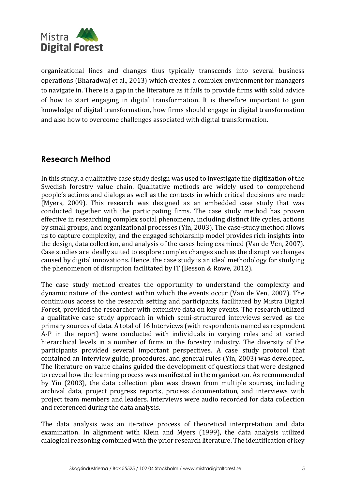

organizational lines and changes thus typically transcends into several business operations (Bharadwaj et al., 2013) which creates a complex environment for managers to navigate in. There is a gap in the literature as it fails to provide firms with solid advice of how to start engaging in digital transformation. It is therefore important to gain knowledge of digital transformation, how firms should engage in digital transformation and also how to overcome challenges associated with digital transformation.

# **Research Method**

In this study, a qualitative case study design was used to investigate the digitization of the Swedish forestry value chain. Qualitative methods are widely used to comprehend people's actions and dialogs as well as the contexts in which critical decisions are made (Myers, 2009). This research was designed as an embedded case study that was conducted together with the participating firms. The case study method has proven effective in researching complex social phenomena, including distinct life cycles, actions by small groups, and organizational processes (Yin, 2003). The case-study method allows us to capture complexity, and the engaged scholarship model provides rich insights into the design, data collection, and analysis of the cases being examined (Van de Ven, 2007). Case studies are ideally suited to explore complex changes such as the disruptive changes caused by digital innovations. Hence, the case study is an ideal methodology for studying the phenomenon of disruption facilitated by IT (Besson & Rowe, 2012).

The case study method creates the opportunity to understand the complexity and dynamic nature of the context within which the events occur (Van de Ven, 2007). The continuous access to the research setting and participants, facilitated by Mistra Digital Forest, provided the researcher with extensive data on key events. The research utilized a qualitative case study approach in which semi-structured interviews served as the primary sources of data. A total of 16 Interviews (with respondents named as respondent A-P in the report) were conducted with individuals in varying roles and at varied hierarchical levels in a number of firms in the forestry industry. The diversity of the participants provided several important perspectives. A case study protocol that contained an interview guide, procedures, and general rules (Yin, 2003) was developed. The literature on value chains guided the development of questions that were designed to reveal how the learning process was manifested in the organization. As recommended by Yin (2003), the data collection plan was drawn from multiple sources, including archival data, project progress reports, process documentation, and interviews with project team members and leaders. Interviews were audio recorded for data collection and referenced during the data analysis.

The data analysis was an iterative process of theoretical interpretation and data examination. In alignment with Klein and Myers (1999), the data analysis utilized dialogical reasoning combined with the prior research literature. The identification of key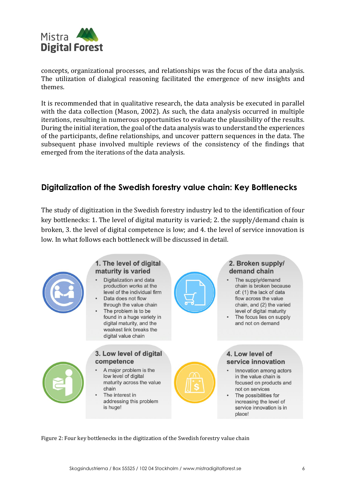

concepts, organizational processes, and relationships was the focus of the data analysis. The utilization of dialogical reasoning facilitated the emergence of new insights and themes.

It is recommended that in qualitative research, the data analysis be executed in parallel with the data collection (Mason, 2002). As such, the data analysis occurred in multiple iterations, resulting in numerous opportunities to evaluate the plausibility of the results. During the initial iteration, the goal of the data analysis was to understand the experiences of the participants, define relationships, and uncover pattern sequences in the data. The subsequent phase involved multiple reviews of the consistency of the findings that emerged from the iterations of the data analysis.

# **Digitalization of the Swedish forestry value chain: Key Bottlenecks**

The study of digitization in the Swedish forestry industry led to the identification of four key bottlenecks: 1. The level of digital maturity is varied; 2. the supply/demand chain is broken, 3. the level of digital competence is low; and 4. the level of service innovation is low. In what follows each bottleneck will be discussed in detail.



#### 1. The level of digital maturity is varied

- Digitalization and data production works at the level of the individual firm
- Data does not flow through the value chain
- The problem is to be found in a huge variety in digital maturity, and the weakest link breaks the digital value chain

### 2. Broken supply/ demand chain

The supply/demand chain is broken because of: (1) the lack of data flow across the value chain, and (2) the varied level of digital maturity The focus lies on supply and not on demand



#### 3. Low level of digital competence

- A major problem is the low level of digital maturity across the value chain
- The interest in addressing this problem is huge!



- Innovation among actors in the value chain is focused on products and not on services
- The possibilities for increasing the level of service innovation is in place!

Figure 2: Four key bottlenecks in the digitization of the Swedish forestry value chain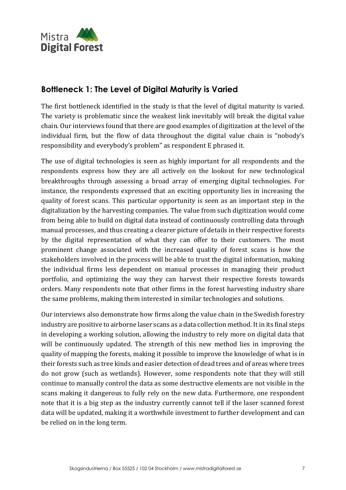

# **Bottleneck 1: The Level of Digital Maturity is Varied**

The first bottleneck identified in the study is that the level of digital maturity is varied. The variety is problematic since the weakest link inevitably will break the digital value chain. Our interviews found that there are good examples of digitization at the level of the individual firm, but the flow of data throughout the digital value chain is "nobody's responsibility and everybody's problem" as respondent E phrased it.

The use of digital technologies is seen as highly important for all respondents and the respondents express how they are all actively on the lookout for new technological breakthroughs through assessing a broad array of emerging digital technologies. For instance, the respondents expressed that an exciting opportunity lies in increasing the quality of forest scans. This particular opportunity is seen as an important step in the digitalization by the harvesting companies. The value from such digitization would come from being able to build on digital data instead of continuously controlling data through manual processes, and thus creating a clearer picture of details in their respective forests by the digital representation of what they can offer to their customers. The most prominent change associated with the increased quality of forest scans is how the stakeholders involved in the process will be able to trust the digital information, making the individual firms less dependent on manual processes in managing their product portfolio, and optimizing the way they can harvest their respective forests towards orders. Many respondents note that other firms in the forest harvesting industry share the same problems, making them interested in similar technologies and solutions.

Our interviews also demonstrate how firms along the value chain in the Swedish forestry industry are positive to airborne laser scans as a data collection method. It in its final steps in developing a working solution, allowing the industry to rely more on digital data that will be continuously updated. The strength of this new method lies in improving the quality of mapping the forests, making it possible to improve the knowledge of what is in their forests such as tree kinds and easier detection of dead trees and of areas where trees do not grow (such as wetlands). However, some respondents note that they will still continue to manually control the data as some destructive elements are not visible in the scans making it dangerous to fully rely on the new data. Furthermore, one respondent note that it is a big step as the industry currently cannot tell if the laser scanned forest data will be updated, making it a worthwhile investment to further development and can be relied on in the long term.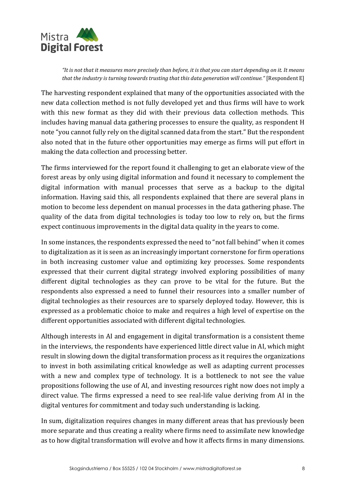

*"It is not that it measures more precisely than before, it is that you can start depending on it. It means that the industry is turning towards trusting that this data generation will continue."* [Respondent E]

The harvesting respondent explained that many of the opportunities associated with the new data collection method is not fully developed yet and thus firms will have to work with this new format as they did with their previous data collection methods. This includes having manual data gathering processes to ensure the quality, as respondent H note "you cannot fully rely on the digital scanned data from the start." But the respondent also noted that in the future other opportunities may emerge as firms will put effort in making the data collection and processing better.

The firms interviewed for the report found it challenging to get an elaborate view of the forest areas by only using digital information and found it necessary to complement the digital information with manual processes that serve as a backup to the digital information. Having said this, all respondents explained that there are several plans in motion to become less dependent on manual processes in the data gathering phase. The quality of the data from digital technologies is today too low to rely on, but the firms expect continuous improvements in the digital data quality in the years to come.

In some instances, the respondents expressed the need to "not fall behind" when it comes to digitalization as it is seen as an increasingly important cornerstone for firm operations in both increasing customer value and optimizing key processes. Some respondents expressed that their current digital strategy involved exploring possibilities of many different digital technologies as they can prove to be vital for the future. But the respondents also expressed a need to funnel their resources into a smaller number of digital technologies as their resources are to sparsely deployed today. However, this is expressed as a problematic choice to make and requires a high level of expertise on the different opportunities associated with different digital technologies.

Although interests in AI and engagement in digital transformation is a consistent theme in the interviews, the respondents have experienced little direct value in AI, which might result in slowing down the digital transformation process as it requires the organizations to invest in both assimilating critical knowledge as well as adapting current processes with a new and complex type of technology. It is a bottleneck to not see the value propositions following the use of AI, and investing resources right now does not imply a direct value. The firms expressed a need to see real-life value deriving from AI in the digital ventures for commitment and today such understanding is lacking.

In sum, digitalization requires changes in many different areas that has previously been more separate and thus creating a reality where firms need to assimilate new knowledge as to how digital transformation will evolve and how it affects firms in many dimensions.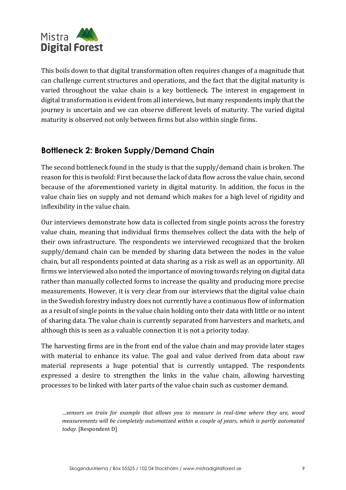

This boils down to that digital transformation often requires changes of a magnitude that can challenge current structures and operations, and the fact that the digital maturity is varied throughout the value chain is a key bottleneck. The interest in engagement in digital transformation is evident from all interviews, but many respondents imply that the journey is uncertain and we can observe different levels of maturity. The varied digital maturity is observed not only between firms but also within single firms.

# **Bottleneck 2: Broken Supply/Demand Chain**

The second bottleneck found in the study is that the supply/demand chain is broken. The reason for this is twofold: First because the lack of data flow across the value chain, second because of the aforementioned variety in digital maturity. In addition, the focus in the value chain lies on supply and not demand which makes for a high level of rigidity and inflexibility in the value chain.

Our interviews demonstrate how data is collected from single points across the forestry value chain, meaning that individual firms themselves collect the data with the help of their own infrastructure. The respondents we interviewed recognized that the broken supply/demand chain can be mended by sharing data between the nodes in the value chain, but all respondents pointed at data sharing as a risk as well as an opportunity. All firms we interviewed also noted the importance of moving towards relying on digital data rather than manually collected forms to increase the quality and producing more precise measurements. However, it is very clear from our interviews that the digital value chain in the Swedish forestry industry does not currently have a continuous flow of information as a result of single points in the value chain holding onto their data with little or no intent of sharing data. The value chain is currently separated from harvesters and markets, and although this is seen as a valuable connection it is not a priority today.

The harvesting firms are in the front end of the value chain and may provide later stages with material to enhance its value. The goal and value derived from data about raw material represents a huge potential that is currently untapped. The respondents expressed a desire to strengthen the links in the value chain, allowing harvesting processes to be linked with later parts of the value chain such as customer demand.

*<sup>…</sup>sensors on train for example that allows you to measure in real-time where they are, wood measurements will be completely automatized within a couple of years, which is partly automated today.* [Respondent D]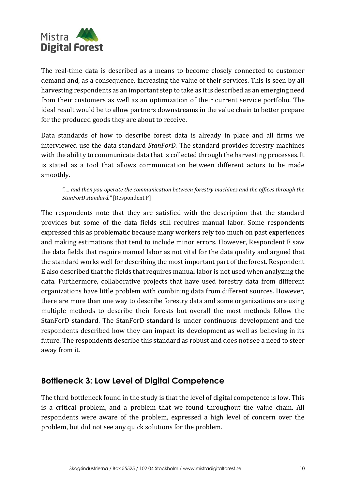

The real-time data is described as a means to become closely connected to customer demand and, as a consequence, increasing the value of their services. This is seen by all harvesting respondents as an important step to take as it is described as an emerging need from their customers as well as an optimization of their current service portfolio. The ideal result would be to allow partners downstreams in the value chain to better prepare for the produced goods they are about to receive.

Data standards of how to describe forest data is already in place and all firms we interviewed use the data standard *StanForD.* The standard provides forestry machines with the ability to communicate data that is collected through the harvesting processes. It is stated as a tool that allows communication between different actors to be made smoothly.

#### *"…. and then you operate the communication between forestry machines and the offices through the StanForD standard."* [Respondent F]

The respondents note that they are satisfied with the description that the standard provides but some of the data fields still requires manual labor. Some respondents expressed this as problematic because many workers rely too much on past experiences and making estimations that tend to include minor errors. However, Respondent E saw the data fields that require manual labor as not vital for the data quality and argued that the standard works well for describing the most important part of the forest. Respondent E also described that the fields that requires manual labor is not used when analyzing the data. Furthermore, collaborative projects that have used forestry data from different organizations have little problem with combining data from different sources. However, there are more than one way to describe forestry data and some organizations are using multiple methods to describe their forests but overall the most methods follow the StanForD standard. The StanForD standard is under continuous development and the respondents described how they can impact its development as well as believing in its future. The respondents describe this standard as robust and does not see a need to steer away from it.

# **Bottleneck 3: Low Level of Digital Competence**

The third bottleneck found in the study is that the level of digital competence is low. This is a critical problem, and a problem that we found throughout the value chain. All respondents were aware of the problem, expressed a high level of concern over the problem, but did not see any quick solutions for the problem.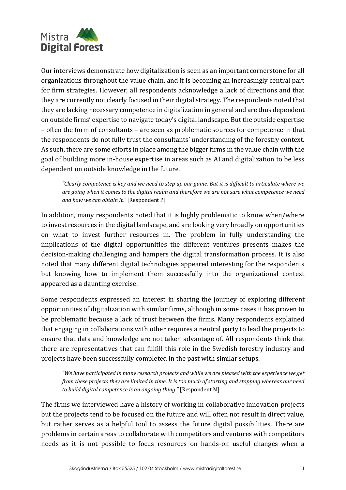

Our interviews demonstrate how digitalization is seen as an important cornerstone for all organizations throughout the value chain, and it is becoming an increasingly central part for firm strategies. However, all respondents acknowledge a lack of directions and that they are currently not clearly focused in their digital strategy. The respondents noted that they are lacking necessary competence in digitalization in general and are thus dependent on outside firms' expertise to navigate today's digital landscape. But the outside expertise – often the form of consultants – are seen as problematic sources for competence in that the respondents do not fully trust the consultants' understanding of the forestry context. As such, there are some efforts in place among the bigger firms in the value chain with the goal of building more in-house expertise in areas such as AI and digitalization to be less dependent on outside knowledge in the future.

*"Clearly competence is key and we need to step up our game. But it is difficult to articulate where we are going when it comes to the digital realm and therefore we are not sure what competence we need and how we can obtain it."* [Respondent P]

In addition, many respondents noted that it is highly problematic to know when/where to invest resources in the digital landscape, and are looking very broadly on opportunities on what to invest further resources in. The problem in fully understanding the implications of the digital opportunities the different ventures presents makes the decision-making challenging and hampers the digital transformation process. It is also noted that many different digital technologies appeared interesting for the respondents but knowing how to implement them successfully into the organizational context appeared as a daunting exercise.

Some respondents expressed an interest in sharing the journey of exploring different opportunities of digitalization with similar firms, although in some cases it has proven to be problematic because a lack of trust between the firms. Many respondents explained that engaging in collaborations with other requires a neutral party to lead the projects to ensure that data and knowledge are not taken advantage of. All respondents think that there are representatives that can fulfill this role in the Swedish forestry industry and projects have been successfully completed in the past with similar setups.

*"We have participated in many research projects and while we are pleased with the experience we get from these projects they are limited in time. It is too much of starting and stopping whereas our need to build digital competence is an ongoing thing."* [Respondent M]

The firms we interviewed have a history of working in collaborative innovation projects but the projects tend to be focused on the future and will often not result in direct value, but rather serves as a helpful tool to assess the future digital possibilities. There are problems in certain areas to collaborate with competitors and ventures with competitors needs as it is not possible to focus resources on hands-on useful changes when a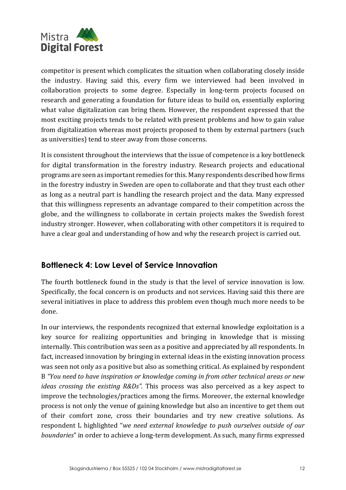

competitor is present which complicates the situation when collaborating closely inside the industry. Having said this, every firm we interviewed had been involved in collaboration projects to some degree. Especially in long-term projects focused on research and generating a foundation for future ideas to build on, essentially exploring what value digitalization can bring them. However, the respondent expressed that the most exciting projects tends to be related with present problems and how to gain value from digitalization whereas most projects proposed to them by external partners (such as universities) tend to steer away from those concerns.

It is consistent throughout the interviews that the issue of competence is a key bottleneck for digital transformation in the forestry industry. Research projects and educational programs are seen as important remedies for this. Many respondents described how firms in the forestry industry in Sweden are open to collaborate and that they trust each other as long as a neutral part is handling the research project and the data. Many expressed that this willingness represents an advantage compared to their competition across the globe, and the willingness to collaborate in certain projects makes the Swedish forest industry stronger. However, when collaborating with other competitors it is required to have a clear goal and understanding of how and why the research project is carried out.

# **Bottleneck 4: Low Level of Service Innovation**

The fourth bottleneck found in the study is that the level of service innovation is low. Specifically, the focal concern is on products and not services. Having said this there are several initiatives in place to address this problem even though much more needs to be done.

In our interviews, the respondents recognized that external knowledge exploitation is a key source for realizing opportunities and bringing in knowledge that is missing internally. This contribution was seen as a positive and appreciated by all respondents. In fact, increased innovation by bringing in external ideas in the existing innovation process was seen not only as a positive but also as something critical. As explained by respondent B *"You need to have inspiration or knowledge coming in from other technical areas or new ideas crossing the existing R&Ds".* This process was also perceived as a key aspect to improve the technologies/practices among the firms. Moreover, the external knowledge process is not only the venue of gaining knowledge but also an incentive to get them out of their comfort zone, cross their boundaries and try new creative solutions. As respondent L highlighted "*we need external knowledge to push ourselves outside of our boundaries*" in order to achieve a long-term development. As such, many firms expressed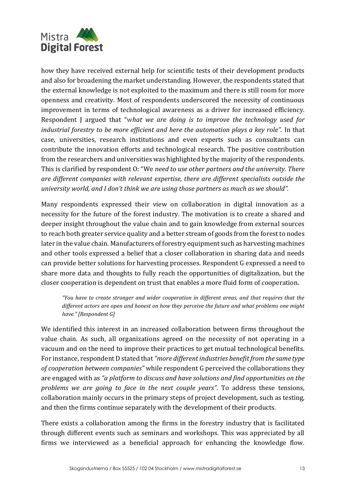

how they have received external help for scientific tests of their development products and also for broadening the market understanding. However, the respondents stated that the external knowledge is not exploited to the maximum and there is still room for more openness and creativity. Most of respondents underscored the necessity of continuous improvement in terms of technological awareness as a driver for increased efficiency. Respondent J argued that "w*hat we are doing is to improve the technology used for industrial forestry to be more efficient and here the automation plays a key role".* In that case, universities, research institutions and even experts such as consultants can contribute the innovation efforts and technological research. The positive contribution from the researchers and universities was highlighted by the majority of the respondents. This is clarified by respondent O: "We *need to use other partners and the university. There are different companies with relevant expertise, there are different specialists outside the university world, and I don't think we are using those partners as much as we should".* 

Many respondents expressed their view on collaboration in digital innovation as a necessity for the future of the forest industry. The motivation is to create a shared and deeper insight throughout the value chain and to gain knowledge from external sources to reach both greater service quality and a better stream of goods from the forest to nodes later in the value chain. Manufacturers of forestry equipment such as harvesting machines and other tools expressed a belief that a closer collaboration in sharing data and needs can provide better solutions for harvesting processes. Respondent G expressed a need to share more data and thoughts to fully reach the opportunities of digitalization, but the closer cooperation is dependent on trust that enables a more fluid form of cooperation.

*"You have to create stronger and wider cooperation in different areas, and that requires that the different actors are open and honest on how they perceive the future and what problems one might have." [Respondent G]*

We identified this interest in an increased collaboration between firms throughout the value chain. As such, all organizations agreed on the necessity of not operating in a vacuum and on the need to improve their practices to get mutual technological benefits. For instance, respondent D stated that *"more different industries benefit from the same type of cooperation between companies"* while respondent G perceived the collaborations they are engaged with as *"a platform to discuss and have solutions and find opportunities on the problems we are going to face in the next couple years"*. To address these tensions, collaboration mainly occurs in the primary steps of project development, such as testing, and then the firms continue separately with the development of their products.

There exists a collaboration among the firms in the forestry industry that is facilitated through different events such as seminars and workshops. This was appreciated by all firms we interviewed as a beneficial approach for enhancing the knowledge flow.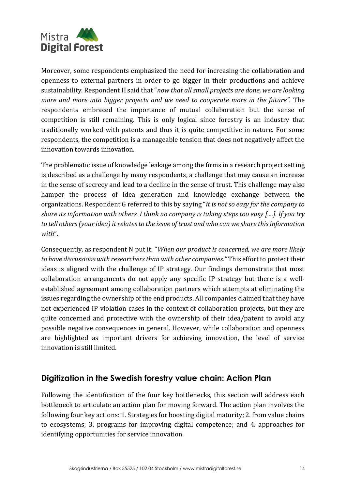

Moreover, some respondents emphasized the need for increasing the collaboration and openness to external partners in order to go bigger in their productions and achieve sustainability. Respondent H said that "*now that all small projects are done, we are looking more and more into bigger projects and we need to cooperate more in the future".* The respondents embraced the importance of mutual collaboration but the sense of competition is still remaining. This is only logical since forestry is an industry that traditionally worked with patents and thus it is quite competitive in nature. For some respondents, the competition is a manageable tension that does not negatively affect the innovation towards innovation.

The problematic issue of knowledge leakage among the firms in a research project setting is described as a challenge by many respondents, a challenge that may cause an increase in the sense of secrecy and lead to a decline in the sense of trust. This challenge may also hamper the process of idea generation and knowledge exchange between the organizations. Respondent G referred to this by saying "*it is not so easy for the company to share its information with others. I think no company is taking steps too easy [....]. If you try to tell others (your idea) it relates to the issue of trust and who can we share this information with*".

Consequently, as respondent N put it: "*When our product is concerned, we are more likely to have discussions with researchers than with other companies."* This effort to protect their ideas is aligned with the challenge of IP strategy. Our findings demonstrate that most collaboration arrangements do not apply any specific IP strategy but there is a wellestablished agreement among collaboration partners which attempts at eliminating the issues regarding the ownership of the end products. All companies claimed that they have not experienced IP violation cases in the context of collaboration projects, but they are quite concerned and protective with the ownership of their idea/patent to avoid any possible negative consequences in general. However, while collaboration and openness are highlighted as important drivers for achieving innovation, the level of service innovation is still limited.

# **Digitization in the Swedish forestry value chain: Action Plan**

Following the identification of the four key bottlenecks, this section will address each bottleneck to articulate an action plan for moving forward. The action plan involves the following four key actions: 1. Strategies for boosting digital maturity; 2. from value chains to ecosystems; 3. programs for improving digital competence; and 4. approaches for identifying opportunities for service innovation.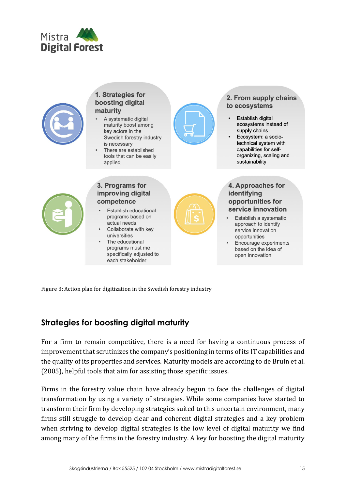



Figure 3: Action plan for digitization in the Swedish forestry industry

# **Strategies for boosting digital maturity**

For a firm to remain competitive, there is a need for having a continuous process of improvement that scrutinizes the company's positioning in terms of its IT capabilities and the quality of its properties and services. Maturity models are according to de Bruin et al. (2005), helpful tools that aim for assisting those specific issues.

Firms in the forestry value chain have already begun to face the challenges of digital transformation by using a variety of strategies. While some companies have started to transform their firm by developing strategies suited to this uncertain environment, many firms still struggle to develop clear and coherent digital strategies and a key problem when striving to develop digital strategies is the low level of digital maturity we find among many of the firms in the forestry industry. A key for boosting the digital maturity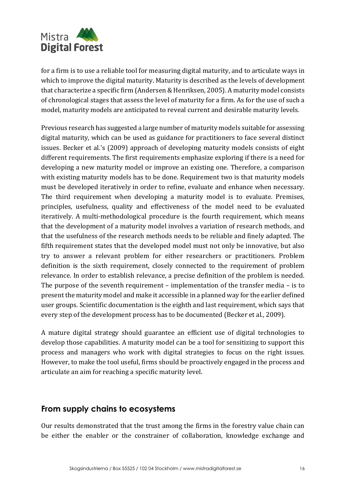

for a firm is to use a reliable tool for measuring digital maturity, and to articulate ways in which to improve the digital maturity. Maturity is described as the levels of development that characterize a specific firm (Andersen & Henriksen, 2005). A maturity model consists of chronological stages that assess the level of maturity for a firm. As for the use of such a model, maturity models are anticipated to reveal current and desirable maturity levels.

Previous research has suggested a large number of maturity models suitable for assessing digital maturity, which can be used as guidance for practitioners to face several distinct issues. Becker et al.'s (2009) approach of developing maturity models consists of eight different requirements. The first requirements emphasize exploring if there is a need for developing a new maturity model or improve an existing one. Therefore, a comparison with existing maturity models has to be done. Requirement two is that maturity models must be developed iteratively in order to refine, evaluate and enhance when necessary. The third requirement when developing a maturity model is to evaluate. Premises, principles, usefulness, quality and effectiveness of the model need to be evaluated iteratively. A multi-methodological procedure is the fourth requirement, which means that the development of a maturity model involves a variation of research methods, and that the usefulness of the research methods needs to be reliable and finely adapted. The fifth requirement states that the developed model must not only be innovative, but also try to answer a relevant problem for either researchers or practitioners. Problem definition is the sixth requirement, closely connected to the requirement of problem relevance. In order to establish relevance, a precise definition of the problem is needed. The purpose of the seventh requirement – implementation of the transfer media – is to present the maturity model and make it accessible in a planned way for the earlier defined user groups. Scientific documentation is the eighth and last requirement, which says that every step of the development process has to be documented (Becker et al., 2009).

A mature digital strategy should guarantee an efficient use of digital technologies to develop those capabilities. A maturity model can be a tool for sensitizing to support this process and managers who work with digital strategies to focus on the right issues. However, to make the tool useful, firms should be proactively engaged in the process and articulate an aim for reaching a specific maturity level.

# **From supply chains to ecosystems**

Our results demonstrated that the trust among the firms in the forestry value chain can be either the enabler or the constrainer of collaboration, knowledge exchange and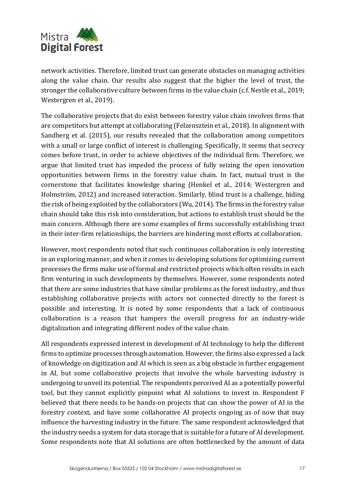

network activities. Τherefore, limited trust can generate obstacles on managing activities along the value chain. Our results also suggest that the higher the level of trust, the stronger the collaborative culture between firms in the value chain (c.f. Nestle et al., 2019; Westergren et al., 2019).

The collaborative projects that do exist between forestry value chain involves firms that are competitors but attempt at collaborating (Felzensztein et al., 2018). In alignment with Sandberg et al. (2015), our results revealed that the collaboration among competitors with a small or large conflict of interest is challenging. Specifically, it seems that secrecy comes before trust, in order to achieve objectives of the individual firm. Therefore, we argue that limited trust has impeded the process of fully seizing the open innovation opportunities between firms in the forestry value chain. In fact, mutual trust is the cornerstone that facilitates knowledge sharing (Henkel et al., 2014; Westergren and Holmström, 2012) and increased interaction. Similarly, blind trust is a challenge, hiding the risk of being exploited by the collaborators (Wu, 2014). The firms in the forestry value chain should take this risk into consideration, but actions to establish trust should be the main concern. Although there are some examples of firms successfully establishing trust in their inter-firm relationships, the barriers are hindering most efforts at collaboration.

However, most respondents noted that such continuous collaboration is only interesting in an exploring manner, and when it comes to developing solutions for optimizing current processes the firms make use of formal and restricted projects which often results in each firm venturing in such developments by themselves. However, some respondents noted that there are some industries that have similar problems as the forest industry, and thus establishing collaborative projects with actors not connected directly to the forest is possible and interesting. It is noted by some respondents that a lack of continuous collaboration is a reason that hampers the overall progress for an industry-wide digitalization and integrating different nodes of the value chain.

All respondents expressed interest in development of AI technology to help the different firms to optimize processes through automation. However, the firms also expressed a lack of knowledge on digitization and AI which is seen as a big obstacle in further engagement in AI, but some collaborative projects that involve the whole harvesting industry is undergoing to unveil its potential. The respondents perceived AI as a potentially powerful tool, but they cannot explicitly pinpoint what AI solutions to invest in. Respondent F believed that there needs to be hands-on projects that can show the power of AI in the forestry context, and have some collaborative AI projects ongoing as of now that may influence the harvesting industry in the future. The same respondent acknowledged that the industry needs a system for data storage that is suitable for a future of AI development. Some respondents note that AI solutions are often bottlenecked by the amount of data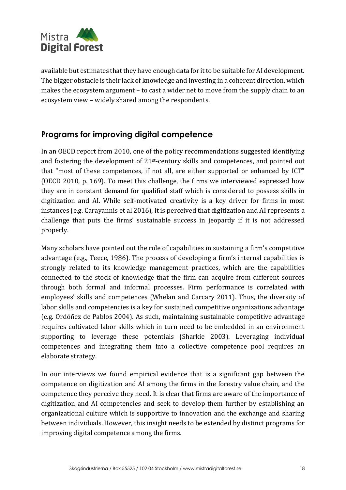

available but estimates that they have enough data for it to be suitable for AI development. The bigger obstacle is their lack of knowledge and investing in a coherent direction, which makes the ecosystem argument – to cast a wider net to move from the supply chain to an ecosystem view – widely shared among the respondents.

# **Programs for improving digital competence**

In an OECD report from 2010, one of the policy recommendations suggested identifying and fostering the development of 21st-century skills and competences, and pointed out that "most of these competences, if not all, are either supported or enhanced by ICT" (OECD 2010, p. 169). To meet this challenge, the firms we interviewed expressed how they are in constant demand for qualified staff which is considered to possess skills in digitization and AI. While self-motivated creativity is a key driver for firms in most instances (e.g. Carayannis et al 2016), it is perceived that digitization and AI represents a challenge that puts the firms' sustainable success in jeopardy if it is not addressed properly.

Many scholars have pointed out the role of capabilities in sustaining a firm's competitive advantage (e.g., Teece, 1986). The process of developing a firm's internal capabilities is strongly related to its knowledge management practices, which are the capabilities connected to the stock of knowledge that the firm can acquire from different sources through both formal and informal processes. Firm performance is correlated with employees' skills and competences (Whelan and Carcary 2011). Thus, the diversity of labor skills and competencies is a key for sustained competitive organizations advantage (e.g. Ordóñez de Pablos 2004). As such, maintaining sustainable competitive advantage requires cultivated labor skills which in turn need to be embedded in an environment supporting to leverage these potentials (Sharkie 2003). Leveraging individual competences and integrating them into a collective competence pool requires an elaborate strategy.

In our interviews we found empirical evidence that is a significant gap between the competence on digitization and AI among the firms in the forestry value chain, and the competence they perceive they need. It is clear that firms are aware of the importance of digitization and AI competencies and seek to develop them further by establishing an organizational culture which is supportive to innovation and the exchange and sharing between individuals. However, this insight needs to be extended by distinct programs for improving digital competence among the firms.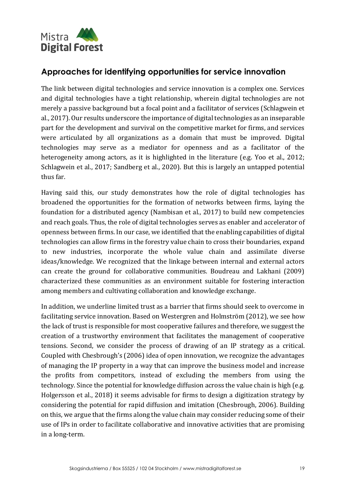

# **Approaches for identifying opportunities for service innovation**

The link between digital technologies and service innovation is a complex one. Services and digital technologies have a tight relationship, wherein digital technologies are not merely a passive background but a focal point and a facilitator of services (Schlagwein et al., 2017). Our results underscore the importance of digital technologies as an inseparable part for the development and survival on the competitive market for firms, and services were articulated by all organizations as a domain that must be improved. Digital technologies may serve as a mediator for openness and as a facilitator of the heterogeneity among actors, as it is highlighted in the literature (e.g. Yoo et al., 2012; Schlagwein et al., 2017; Sandberg et al., 2020). But this is largely an untapped potential thus far.

Having said this, our study demonstrates how the role of digital technologies has broadened the opportunities for the formation of networks between firms, laying the foundation for a distributed agency (Nambisan et al., 2017) to build new competencies and reach goals. Thus, the role of digital technologies serves as enabler and accelerator of openness between firms. In our case, we identified that the enabling capabilities of digital technologies can allow firms in the forestry value chain to cross their boundaries, expand to new industries, incorporate the whole value chain and assimilate diverse ideas/knowledge. We recognized that the linkage between internal and external actors can create the ground for collaborative communities. Boudreau and Lakhani (2009) characterized these communities as an environment suitable for fostering interaction among members and cultivating collaboration and knowledge exchange.

In addition, we underline limited trust as a barrier that firms should seek to overcome in facilitating service innovation. Based on Westergren and Holmström (2012), we see how the lack of trust is responsible for most cooperative failures and therefore, we suggest the creation of a trustworthy environment that facilitates the management of cooperative tensions. Second, we consider the process of drawing of an IP strategy as a critical. Coupled with Chesbrough's (2006) idea of open innovation, we recognize the advantages of managing the IP property in a way that can improve the business model and increase the profits from competitors, instead of excluding the members from using the technology. Since the potential for knowledge diffusion across the value chain is high (e.g. Holgersson et al., 2018) it seems advisable for firms to design a digitization strategy by considering the potential for rapid diffusion and imitation (Chesbrough, 2006). Building on this, we argue that the firms along the value chain may consider reducing some of their use of IPs in order to facilitate collaborative and innovative activities that are promising in a long-term.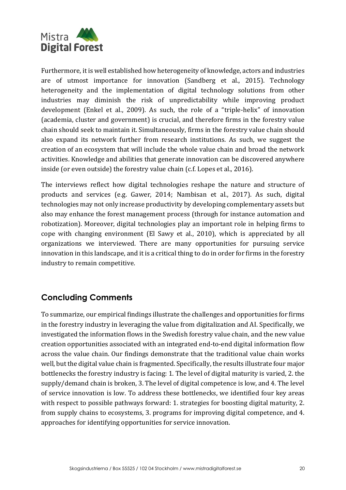

Furthermore, it is well established how heterogeneity of knowledge, actors and industries are of utmost importance for innovation (Sandberg et al., 2015). Technology heterogeneity and the implementation of digital technology solutions from other industries may diminish the risk of unpredictability while improving product development (Enkel et al., 2009). As such, the role of a "triple-helix" of innovation (academia, cluster and government) is crucial, and therefore firms in the forestry value chain should seek to maintain it. Simultaneously, firms in the forestry value chain should also expand its network further from research institutions. As such, we suggest the creation of an ecosystem that will include the whole value chain and broad the network activities. Knowledge and abilities that generate innovation can be discovered anywhere inside (or even outside) the forestry value chain (c.f. Lopes et al., 2016).

The interviews reflect how digital technologies reshape the nature and structure of products and services (e.g. Gawer, 2014; Nambisan et al., 2017). As such, digital technologies may not only increase productivity by developing complementary assets but also may enhance the forest management process (through for instance automation and robotization). Moreover, digital technologies play an important role in helping firms to cope with changing environment (El Sawy et al., 2010), which is appreciated by all organizations we interviewed. There are many opportunities for pursuing service innovation in this landscape, and it is a critical thing to do in order for firms in the forestry industry to remain competitive.

# **Concluding Comments**

To summarize, our empirical findings illustrate the challenges and opportunities for firms in the forestry industry in leveraging the value from digitalization and AI. Specifically, we investigated the information flows in the Swedish forestry value chain, and the new value creation opportunities associated with an integrated end‐to‐end digital information flow across the value chain. Our findings demonstrate that the traditional value chain works well, but the digital value chain is fragmented. Specifically, the results illustrate four major bottlenecks the forestry industry is facing: 1. The level of digital maturity is varied, 2. the supply/demand chain is broken, 3. The level of digital competence is low, and 4. The level of service innovation is low. To address these bottlenecks, we identified four key areas with respect to possible pathways forward: 1. strategies for boosting digital maturity, 2. from supply chains to ecosystems, 3. programs for improving digital competence, and 4. approaches for identifying opportunities for service innovation.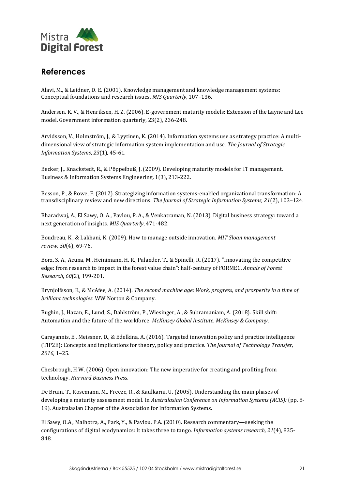

# **References**

Alavi, M., & Leidner, D. E. (2001). Knowledge management and knowledge management systems: Conceptual foundations and research issues. *MIS Quarterly*, 107–136.

Andersen, K. V., & Henriksen, H. Z. (2006). E-government maturity models: Extension of the Layne and Lee model. Government information quarterly, 23(2), 236-248.

Arvidsson, V., Holmström, J., & Lyytinen, K. (2014). Information systems use as strategy practice: A multidimensional view of strategic information system implementation and use. *The Journal of Strategic Information Systems*, *23*(1), 45-61.

Becker, J., Knackstedt, R., & Pöppelbuß, J. (2009). Developing maturity models for IT management. Business & Information Systems Engineering, 1(3), 213-222.

Besson, P., & Rowe, F. (2012). Strategizing information systems-enabled organizational transformation: A transdisciplinary review and new directions. *The Journal of Strategic Information Systems, 21*(2), 103–124.

Bharadwaj, A., El Sawy, O. A., Pavlou, P. A., & Venkatraman, N. (2013). Digital business strategy: toward a next generation of insights. *MIS Quarterly*, 471-482.

Boudreau, K., & Lakhani, K. (2009). How to manage outside innovation. *MIT Sloan management review*, *50*(4), 69-76.

Borz, S. A., Acuna, M., Heinimann, H. R., Palander, T., & Spinelli, R. (2017). "Innovating the competitive edge: from research to impact in the forest value chain": half-century of FORMEC. *Annals of Forest Research*, *60*(2), 199-201.

Brynjolfsson, E., & McAfee, A. (2014). *The second machine age: Work, progress, and prosperity in a time of brilliant technologies*. WW Norton & Company.

Bughin, J., Hazan, E., Lund, S., Dahlström, P., Wiesinger, A., & Subramaniam, A. (2018). Skill shift: Automation and the future of the workforce. *McKinsey Global Institute. McKinsey & Company*.

Carayannis, E., Meissner, D., & Edelkina, A. (2016). Targeted innovation policy and practice intelligence (TIP2E): Concepts and implications for theory, policy and practice. *The Journal of Technology Transfer, 2016,* 1–25.

Chesbrough, H.W. (2006). Open innovation: The new imperative for creating and profiting from technology. *Harvard Business Press*.

De Bruin, T., Rosemann, M., Freeze, R., & Kaulkarni, U. (2005). Understanding the main phases of developing a maturity assessment model. In *Australasian Conference on Information Systems (ACIS):* (pp. 8- 19). Australasian Chapter of the Association for Information Systems.

El Sawy, O.A., Malhotra, A., Park, Y., & Pavlou, P.A. (2010). Research commentary—seeking the configurations of digital ecodynamics: It takes three to tango. *Information systems research, 21*(4), 835- 848.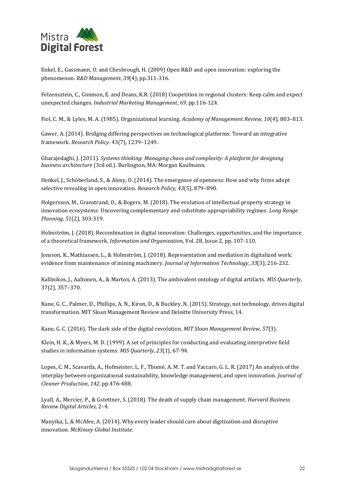

Enkel, E., Gassmann, O. and Chesbrough, H. (2009) Open R&D and open innovation: exploring the phenomenon. *R&D Management*, *39*(4), pp.311-316.

Felzensztein, C., Gimmon, E. and Deans, K.R. (2018) Coopetition in regional clusters: Keep calm and expect unexpected changes. *Industrial Marketing Management*, *69*, pp.116-124.

Fiol, C. M., & Lyles, M. A. (1985). Organizational learning. *Academy of Management Review, 10*(4), 803–813.

Gawer, A. (2014). Bridging differing perspectives on technological platforms: Toward an integrative framework. *Research Policy*. 43(7), 1239–1249.

Gharajedaghi, J. (2011). *Systems thinking: Managing chaos and complexity: A platform for designing business architecture* (3rd ed.). Burlington, MA: Morgan Kaufmann.

Henkel, J., Schöberland, S., & Alexy, O. (2014). The emergence of openness: How and why firms adopt selective revealing in open innovation. *Research Policy*, *43*(5), 879–890.

Holgersson, M., Granstrand, O., & Bogers, M. (2018). The evolution of intellectual property strategy in innovation ecosystems: Uncovering complementary and substitute appropriability regimes. *Long Range Planning*, *51*(2), 303-319.

Holmström, J. (2018). Recombination in digital innovation: Challenges, opportunities, and the importance of a theoretical framework. *Information and Organization*, Vol. 28, Issue 2, pp. 107-110.

Jonsson, K., Mathiassen, L., & Holmström, J. (2018). Representation and mediation in digitalized work: evidence from maintenance of mining machinery. *Journal of Information Technology*, *33*(3), 216-232.

Kallinikos, J., Aaltonen, A., & Marton, A. (2013). The ambivalent ontology of digital artifacts. *MIS Quarterly*, 37(2), 357–370.

Kane, G. C., Palmer, D., Phillips, A. N., Kiron, D., & Buckley, N. (2015). Strategy, not technology, drives digital transformation. MIT Sloan Management Review and Deloitte University Press, 14.

Kane, G. C. (2016). The dark side of the digital revolution. *MIT Sloan Management Review*, *57*(3).

Klein, H. K., & Myers, M. D. (1999). A set of principles for conducting and evaluating interpretive field studies in information systems. *MIS Quarterly*, *23*(1), 67-94.

Lopes, C. M., Scavarda, A., Hofmeister, L. F., Thomé, A. M. T. and Vaccaro, G. L. R. (2017) An analysis of the interplay between organizational sustainability, knowledge management, and open innovation. *Journal of Cleaner Production*, *142*, pp.476-488.

Lyall, A., Mercier, P., & Gstettner, S. (2018). The death of supply chain management. *Harvard Business Review Digital Articles*, 2–4.

Manyika, J., & McAfee, A. (2014). Why every leader should care about digitization and disruptive innovation. *McKinsey Global Institute*.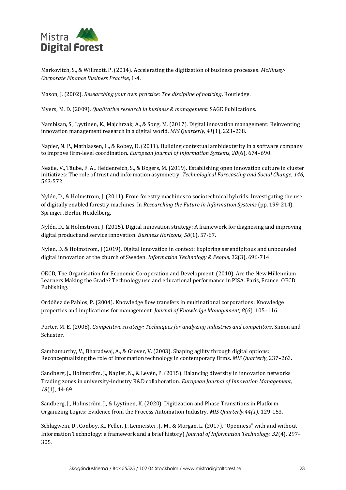

Markovitch, S., & Willmott, P. (2014). Accelerating the digitization of business processes. *McKinsey-Corporate Finance Business Practise*, 1-4.

Mason, J. (2002). *Researching your own practice: The discipline of noticing*. Routledge.

Myers, M. D. (2009). *Qualitative research in business & management*: SAGE Publications.

Nambisan, S., Lyytinen, K., Majchrzak, A., & Song, M. (2017). Digital innovation management: Reinventing innovation management research in a digital world. *MIS Quarterly, 41*(1), 223–238.

Napier, N. P., Mathiassen, L., & Robey, D. (2011). Building contextual ambidexterity in a software company to improve firm-level coordination. *European Journal of Information Systems, 20*(6), 674–690.

Nestle, V., Täube, F. A., Heidenreich, S., & Bogers, M. (2019). Establishing open innovation culture in cluster initiatives: The role of trust and information asymmetry. *Technological Forecasting and Social Change*, *146*, 563-572.

Nylén, D., & Holmström, J. (2011). From forestry machines to sociotechnical hybrids: Investigating the use of digitally enabled forestry machines. In *Researching the Future in Information Systems* (pp. 199-214). Springer, Berlin, Heidelberg.

Nylén, D., & Holmström, J. (2015). Digital innovation strategy: A framework for diagnosing and improving digital product and service innovation. *Business Horizons*, *58*(1), 57-67.

Nylen, D. & Holmström, J (2019). Digital innovation in context: Exploring serendipitous and unbounded digital innovation at the church of Sweden. *Information Technology & People,* 32(3), 696-714.

OECD, The Organisation for Economic Co-operation and Development. (2010). Are the New Millennium Learners Making the Grade? Technology use and educational performance in PISA. Paris, France: OECD Publishing.

Ordóñez de Pablos, P. (2004). Knowledge flow transfers in multinational corporations: Knowledge properties and implications for management. *Journal of Knowledge Management, 8*(6), 105–116.

Porter, M. E. (2008). *Competitive strategy: Techniques for analyzing industries and competitors*. Simon and Schuster.

Sambamurthy, V., Bharadwaj, A., & Grover, V. (2003). Shaping agility through digital options: Reconceptualizing the role of information technology in contemporary firms. *MIS Quarterly*, 237–263.

Sandberg, J., Holmström. J., Napier, N., & Levén, P. (2015). Balancing diversity in innovation networks Trading zones in university-industry R&D collaboration. *European Journal of Innovation Management, 18*(1), 44-69.

Sandberg, J., Holmström. J., & Lyytinen, K. (2020). Digitization and Phase Transitions in Platform Organizing Logics: Evidence from the Process Automation Industry. *MIS Quarterly.44(1),* 129-153.

Schlagwein, D., Conboy, K., Feller, J., Leimeister, J.-M., & Morgan, L. (2017). "Openness" with and without Information Technology: a framework and a brief history) *Journal of Information Technology. 32*(4), 297– 305.